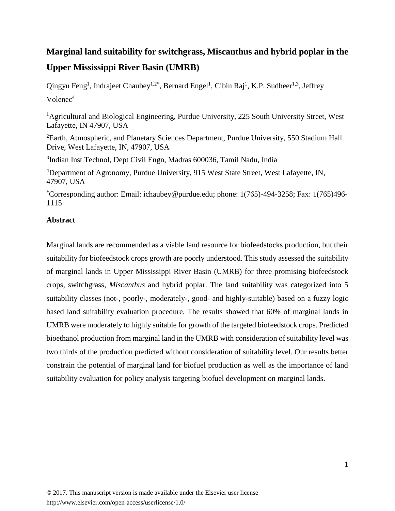# **Marginal land suitability for switchgrass, Miscanthus and hybrid poplar in the Upper Mississippi River Basin (UMRB)**

Qingyu Feng<sup>1</sup>, Indrajeet Chaubey<sup>1,2\*</sup>, Bernard Engel<sup>1</sup>, Cibin Raj<sup>1</sup>, K.P. Sudheer<sup>1,3</sup>, Jeffrey  $Volence<sup>4</sup>$ 

<sup>1</sup>Agricultural and Biological Engineering, Purdue University, 225 South University Street, West Lafayette, IN 47907, USA

<sup>2</sup>Earth, Atmospheric, and Planetary Sciences Department, Purdue University, 550 Stadium Hall Drive, West Lafayette, IN, 47907, USA

3 Indian Inst Technol, Dept Civil Engn, Madras 600036, Tamil Nadu, India

<sup>4</sup>Department of Agronomy, Purdue University, 915 West State Street, West Lafayette, IN, 47907, USA

\*Corresponding author: Email: ichaubey@purdue.edu; phone: 1(765)-494-3258; Fax: 1(765)496- 1115

# **Abstract**

Marginal lands are recommended as a viable land resource for biofeedstocks production, but their suitability for biofeedstock crops growth are poorly understood. This study assessed the suitability of marginal lands in Upper Mississippi River Basin (UMRB) for three promising biofeedstock crops, switchgrass, *Miscanthus* and hybrid poplar. The land suitability was categorized into 5 suitability classes (not-, poorly-, moderately-, good- and highly-suitable) based on a fuzzy logic based land suitability evaluation procedure. The results showed that 60% of marginal lands in UMRB were moderately to highly suitable for growth of the targeted biofeedstock crops. Predicted bioethanol production from marginal land in the UMRB with consideration of suitability level was two thirds of the production predicted without consideration of suitability level. Our results better constrain the potential of marginal land for biofuel production as well as the importance of land suitability evaluation for policy analysis targeting biofuel development on marginal lands.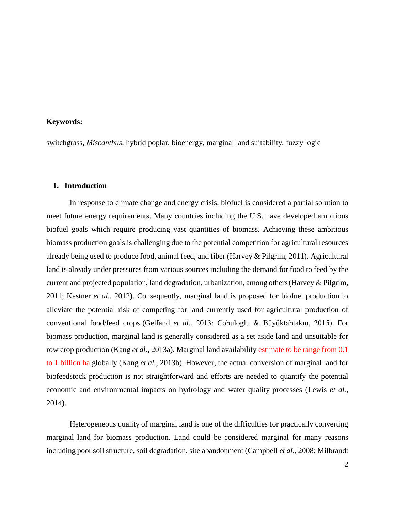#### **Keywords:**

switchgrass, *Miscanthus*, hybrid poplar, bioenergy, marginal land suitability, fuzzy logic

#### **1. Introduction**

In response to climate change and energy crisis, biofuel is considered a partial solution to meet future energy requirements. Many countries including the U.S. have developed ambitious biofuel goals which require producing vast quantities of biomass. Achieving these ambitious biomass production goals is challenging due to the potential competition for agricultural resources already being used to produce food, animal feed, and fiber (Harvey & Pilgrim, 2011). Agricultural land is already under pressures from various sources including the demand for food to feed by the current and projected population, land degradation, urbanization, among others(Harvey & Pilgrim, 2011; Kastner *et al.*, 2012). Consequently, marginal land is proposed for biofuel production to alleviate the potential risk of competing for land currently used for agricultural production of conventional food/feed crops (Gelfand *et al.*, 2013; Cobuloglu & Büyüktahtakın, 2015). For biomass production, marginal land is generally considered as a set aside land and unsuitable for row crop production (Kang *et al.*, 2013a). Marginal land availability estimate to be range from 0.1 to 1 billion ha globally (Kang *et al.*, 2013b). However, the actual conversion of marginal land for biofeedstock production is not straightforward and efforts are needed to quantify the potential economic and environmental impacts on hydrology and water quality processes (Lewis *et al.*, 2014).

Heterogeneous quality of marginal land is one of the difficulties for practically converting marginal land for biomass production. Land could be considered marginal for many reasons including poor soil structure, soil degradation, site abandonment (Campbell *et al.*, 2008; Milbrandt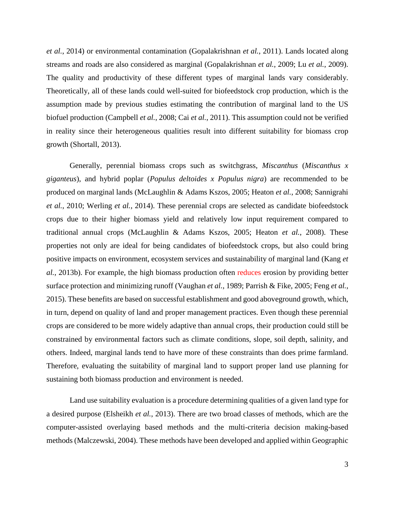*et al.*, 2014) or environmental contamination (Gopalakrishnan *et al.*, 2011). Lands located along streams and roads are also considered as marginal (Gopalakrishnan *et al.*, 2009; Lu *et al.*, 2009). The quality and productivity of these different types of marginal lands vary considerably. Theoretically, all of these lands could well-suited for biofeedstock crop production, which is the assumption made by previous studies estimating the contribution of marginal land to the US biofuel production (Campbell *et al.*, 2008; Cai *et al.*, 2011). This assumption could not be verified in reality since their heterogeneous qualities result into different suitability for biomass crop growth (Shortall, 2013).

Generally, perennial biomass crops such as switchgrass, *Miscanthus* (*Miscanthus x giganteus*), and hybrid poplar (*Populus deltoides x Populus nigra*) are recommended to be produced on marginal lands (McLaughlin & Adams Kszos, 2005; Heaton *et al.*, 2008; Sannigrahi *et al.*, 2010; Werling *et al.*, 2014). These perennial crops are selected as candidate biofeedstock crops due to their higher biomass yield and relatively low input requirement compared to traditional annual crops (McLaughlin & Adams Kszos, 2005; Heaton *et al.*, 2008). These properties not only are ideal for being candidates of biofeedstock crops, but also could bring positive impacts on environment, ecosystem services and sustainability of marginal land (Kang *et al.*, 2013b). For example, the high biomass production often reduces erosion by providing better surface protection and minimizing runoff (Vaughan *et al.*, 1989; Parrish & Fike, 2005; Feng *et al.*, 2015). These benefits are based on successful establishment and good aboveground growth, which, in turn, depend on quality of land and proper management practices. Even though these perennial crops are considered to be more widely adaptive than annual crops, their production could still be constrained by environmental factors such as climate conditions, slope, soil depth, salinity, and others. Indeed, marginal lands tend to have more of these constraints than does prime farmland. Therefore, evaluating the suitability of marginal land to support proper land use planning for sustaining both biomass production and environment is needed.

Land use suitability evaluation is a procedure determining qualities of a given land type for a desired purpose (Elsheikh *et al.*, 2013). There are two broad classes of methods, which are the computer-assisted overlaying based methods and the multi-criteria decision making-based methods (Malczewski, 2004). These methods have been developed and applied within Geographic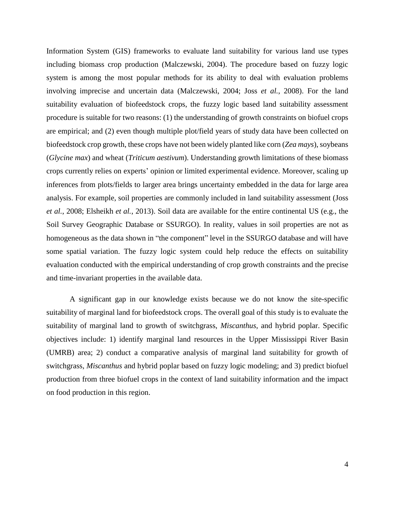Information System (GIS) frameworks to evaluate land suitability for various land use types including biomass crop production (Malczewski, 2004). The procedure based on fuzzy logic system is among the most popular methods for its ability to deal with evaluation problems involving imprecise and uncertain data (Malczewski, 2004; Joss *et al.*, 2008). For the land suitability evaluation of biofeedstock crops, the fuzzy logic based land suitability assessment procedure is suitable for two reasons: (1) the understanding of growth constraints on biofuel crops are empirical; and (2) even though multiple plot/field years of study data have been collected on biofeedstock crop growth, these crops have not been widely planted like corn (*Zea mays*), soybeans (*Glycine max*) and wheat (*Triticum aestivum*). Understanding growth limitations of these biomass crops currently relies on experts' opinion or limited experimental evidence. Moreover, scaling up inferences from plots/fields to larger area brings uncertainty embedded in the data for large area analysis. For example, soil properties are commonly included in land suitability assessment (Joss *et al.*, 2008; Elsheikh *et al.*, 2013). Soil data are available for the entire continental US (e.g., the Soil Survey Geographic Database or SSURGO). In reality, values in soil properties are not as homogeneous as the data shown in "the component" level in the SSURGO database and will have some spatial variation. The fuzzy logic system could help reduce the effects on suitability evaluation conducted with the empirical understanding of crop growth constraints and the precise and time-invariant properties in the available data.

A significant gap in our knowledge exists because we do not know the site-specific suitability of marginal land for biofeedstock crops. The overall goal of this study is to evaluate the suitability of marginal land to growth of switchgrass, *Miscanthus*, and hybrid poplar. Specific objectives include: 1) identify marginal land resources in the Upper Mississippi River Basin (UMRB) area; 2) conduct a comparative analysis of marginal land suitability for growth of switchgrass, *Miscanthus* and hybrid poplar based on fuzzy logic modeling; and 3) predict biofuel production from three biofuel crops in the context of land suitability information and the impact on food production in this region.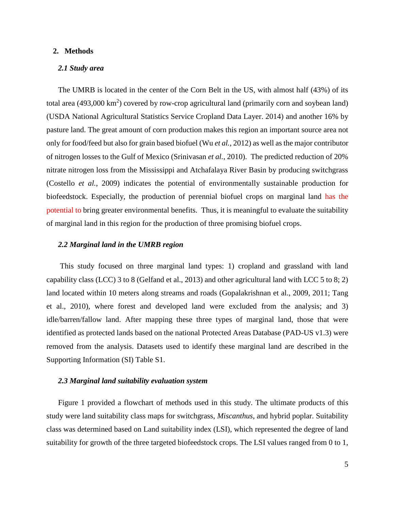### **2. Methods**

#### *2.1 Study area*

The UMRB is located in the center of the Corn Belt in the US, with almost half (43%) of its total area (493,000 km<sup>2</sup>) covered by row-crop agricultural land (primarily corn and soybean land) (USDA National Agricultural Statistics Service Cropland Data Layer. 2014) and another 16% by pasture land. The great amount of corn production makes this region an important source area not only for food/feed but also for grain based biofuel (Wu *et al.*, 2012) as well as the major contributor of nitrogen losses to the Gulf of Mexico (Srinivasan *et al.*, 2010). The predicted reduction of 20% nitrate nitrogen loss from the Mississippi and Atchafalaya River Basin by producing switchgrass (Costello *et al.*, 2009) indicates the potential of environmentally sustainable production for biofeedstock. Especially, the production of perennial biofuel crops on marginal land has the potential to bring greater environmental benefits. Thus, it is meaningful to evaluate the suitability of marginal land in this region for the production of three promising biofuel crops.

#### *2.2 Marginal land in the UMRB region*

This study focused on three marginal land types: 1) cropland and grassland with land capability class (LCC) 3 to 8 (Gelfand et al., 2013) and other agricultural land with LCC 5 to 8; 2) land located within 10 meters along streams and roads (Gopalakrishnan et al., 2009, 2011; Tang et al., 2010), where forest and developed land were excluded from the analysis; and 3) idle/barren/fallow land. After mapping these three types of marginal land, those that were identified as protected lands based on the national Protected Areas Database (PAD-US v1.3) were removed from the analysis. Datasets used to identify these marginal land are described in the Supporting Information (SI) Table S1.

#### *2.3 Marginal land suitability evaluation system*

Figure 1 provided a flowchart of methods used in this study. The ultimate products of this study were land suitability class maps for switchgrass, *Miscanthus*, and hybrid poplar. Suitability class was determined based on Land suitability index (LSI), which represented the degree of land suitability for growth of the three targeted biofeedstock crops. The LSI values ranged from 0 to 1,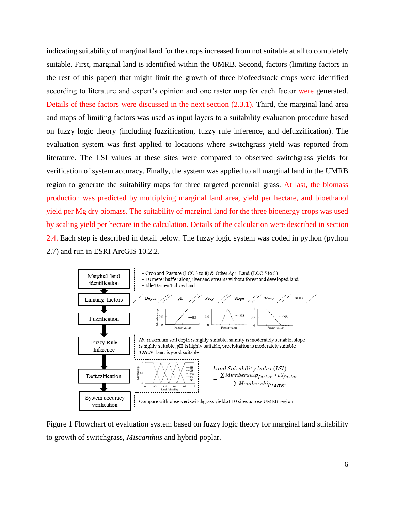indicating suitability of marginal land for the crops increased from not suitable at all to completely suitable. First, marginal land is identified within the UMRB. Second, factors (limiting factors in the rest of this paper) that might limit the growth of three biofeedstock crops were identified according to literature and expert's opinion and one raster map for each factor were generated. Details of these factors were discussed in the next section (2.3.1). Third, the marginal land area and maps of limiting factors was used as input layers to a suitability evaluation procedure based on fuzzy logic theory (including fuzzification, fuzzy rule inference, and defuzzification). The evaluation system was first applied to locations where switchgrass yield was reported from literature. The LSI values at these sites were compared to observed switchgrass yields for verification of system accuracy. Finally, the system was applied to all marginal land in the UMRB region to generate the suitability maps for three targeted perennial grass. At last, the biomass production was predicted by multiplying marginal land area, yield per hectare, and bioethanol yield per Mg dry biomass. The suitability of marginal land for the three bioenergy crops was used by scaling yield per hectare in the calculation. Details of the calculation were described in section 2.4. Each step is described in detail below. The fuzzy logic system was coded in python (python 2.7) and run in ESRI ArcGIS 10.2.2.



Figure 1 Flowchart of evaluation system based on fuzzy logic theory for marginal land suitability to growth of switchgrass, *Miscanthus* and hybrid poplar.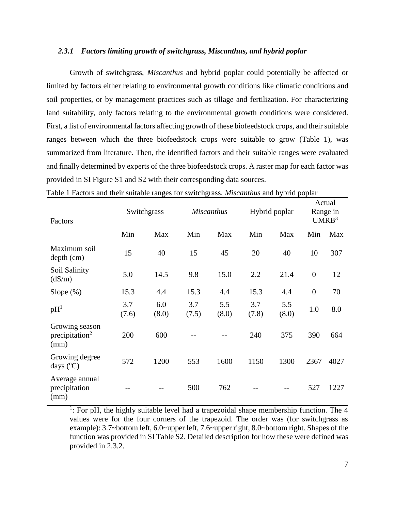# *2.3.1 Factors limiting growth of switchgrass, Miscanthus, and hybrid poplar*

Growth of switchgrass, *Miscanthus* and hybrid poplar could potentially be affected or limited by factors either relating to environmental growth conditions like climatic conditions and soil properties, or by management practices such as tillage and fertilization. For characterizing land suitability, only factors relating to the environmental growth conditions were considered. First, a list of environmental factors affecting growth of these biofeedstock crops, and their suitable ranges between which the three biofeedstock crops were suitable to grow [\(Table 1\)](#page-6-0), was summarized from literature. Then, the identified factors and their suitable ranges were evaluated and finally determined by experts of the three biofeedstock crops. A raster map for each factor was provided in SI Figure S1 and S2 with their corresponding data sources.

| Factors                                              | Switchgrass  |              | <b>Miscanthus</b> |              | Hybrid poplar |              | Actual<br>Range in<br>UMRB <sup>3</sup> |      |
|------------------------------------------------------|--------------|--------------|-------------------|--------------|---------------|--------------|-----------------------------------------|------|
|                                                      | Min          | Max          | Min               | Max          | Min           | Max          | Min                                     | Max  |
| Maximum soil<br>$depth$ (cm)                         | 15           | 40           | 15                | 45           | 20            | 40           | 10                                      | 307  |
| Soil Salinity<br>(dS/m)                              | 5.0          | 14.5         | 9.8               | 15.0         | 2.2           | 21.4         | $\boldsymbol{0}$                        | 12   |
| Slope $(\%)$                                         | 15.3         | 4.4          | 15.3              | 4.4          | 15.3          | 4.4          | $\boldsymbol{0}$                        | 70   |
| pH <sup>1</sup>                                      | 3.7<br>(7.6) | 6.0<br>(8.0) | 3.7<br>(7.5)      | 5.5<br>(8.0) | 3.7<br>(7.8)  | 5.5<br>(8.0) | 1.0                                     | 8.0  |
| Growing season<br>precipitation <sup>2</sup><br>(mm) | 200          | 600          |                   |              | 240           | 375          | 390                                     | 664  |
| Growing degree<br>days $(^{\circ}C)$                 | 572          | 1200         | 553               | 1600         | 1150          | 1300         | 2367                                    | 4027 |
| Average annual<br>precipitation<br>(mm)              |              |              | 500               | 762          |               |              | 527                                     | 1227 |

<span id="page-6-0"></span>Table 1 Factors and their suitable ranges for switchgrass, *Miscanthus* and hybrid poplar

<sup>1</sup>: For pH, the highly suitable level had a trapezoidal shape membership function. The  $\overline{4}$ values were for the four corners of the trapezoid. The order was (for switchgrass as example): 3.7~bottom left, 6.0~upper left, 7.6~upper right, 8.0~bottom right. Shapes of the function was provided in SI Table S2. Detailed description for how these were defined was provided in 2.3.2.

 $A_{\text{atual}}$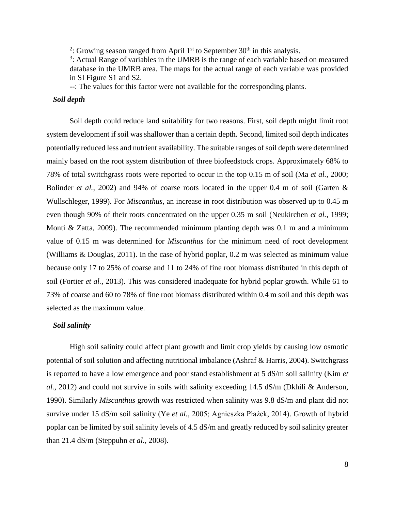<sup>2</sup>: Growing season ranged from April  $1<sup>st</sup>$  to September  $30<sup>th</sup>$  in this analysis.

 $3$ : Actual Range of variables in the UMRB is the range of each variable based on measured database in the UMRB area. The maps for the actual range of each variable was provided in SI Figure S1 and S2.

--: The values for this factor were not available for the corresponding plants.

# *Soil depth*

Soil depth could reduce land suitability for two reasons. First, soil depth might limit root system development if soil was shallower than a certain depth. Second, limited soil depth indicates potentially reduced less and nutrient availability. The suitable ranges of soil depth were determined mainly based on the root system distribution of three biofeedstock crops. Approximately 68% to 78% of total switchgrass roots were reported to occur in the top 0.15 m of soil (Ma *et al.*, 2000; Bolinder *et al.*, 2002) and 94% of coarse roots located in the upper 0.4 m of soil (Garten & Wullschleger, 1999). For *Miscanthus*, an increase in root distribution was observed up to 0.45 m even though 90% of their roots concentrated on the upper 0.35 m soil (Neukirchen *et al.*, 1999; Monti & Zatta, 2009). The recommended minimum planting depth was 0.1 m and a minimum value of 0.15 m was determined for *Miscanthus* for the minimum need of root development (Williams & Douglas, 2011). In the case of hybrid poplar, 0.2 m was selected as minimum value because only 17 to 25% of coarse and 11 to 24% of fine root biomass distributed in this depth of soil (Fortier *et al.*, 2013). This was considered inadequate for hybrid poplar growth. While 61 to 73% of coarse and 60 to 78% of fine root biomass distributed within 0.4 m soil and this depth was selected as the maximum value.

#### *Soil salinity*

High soil salinity could affect plant growth and limit crop yields by causing low osmotic potential of soil solution and affecting nutritional imbalance (Ashraf & Harris, 2004). Switchgrass is reported to have a low emergence and poor stand establishment at 5 dS/m soil salinity (Kim *et al.*, 2012) and could not survive in soils with salinity exceeding 14.5 dS/m (Dkhili & Anderson, 1990). Similarly *Miscanthus* growth was restricted when salinity was 9.8 dS/m and plant did not survive under 15 dS/m soil salinity (Ye *et al.*, 2005; Agnieszka Płażek, 2014). Growth of hybrid poplar can be limited by soil salinity levels of 4.5 dS/m and greatly reduced by soil salinity greater than 21.4 dS/m (Steppuhn *et al.*, 2008).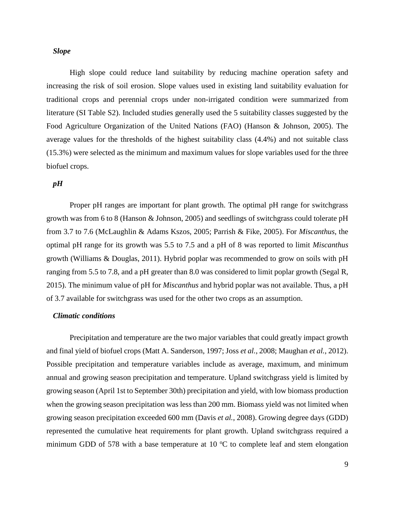#### *Slope*

High slope could reduce land suitability by reducing machine operation safety and increasing the risk of soil erosion. Slope values used in existing land suitability evaluation for traditional crops and perennial crops under non-irrigated condition were summarized from literature (SI Table S2). Included studies generally used the 5 suitability classes suggested by the Food Agriculture Organization of the United Nations (FAO) (Hanson & Johnson, 2005). The average values for the thresholds of the highest suitability class (4.4%) and not suitable class (15.3%) were selected as the minimum and maximum values for slope variables used for the three biofuel crops.

#### *pH*

Proper pH ranges are important for plant growth. The optimal pH range for switchgrass growth was from 6 to 8 (Hanson & Johnson, 2005) and seedlings of switchgrass could tolerate pH from 3.7 to 7.6 (McLaughlin & Adams Kszos, 2005; Parrish & Fike, 2005). For *Miscanthus*, the optimal pH range for its growth was 5.5 to 7.5 and a pH of 8 was reported to limit *Miscanthus* growth (Williams & Douglas, 2011). Hybrid poplar was recommended to grow on soils with pH ranging from 5.5 to 7.8, and a pH greater than 8.0 was considered to limit poplar growth (Segal R, 2015). The minimum value of pH for *Miscanthus* and hybrid poplar was not available. Thus, a pH of 3.7 available for switchgrass was used for the other two crops as an assumption.

# *Climatic conditions*

Precipitation and temperature are the two major variables that could greatly impact growth and final yield of biofuel crops (Matt A. Sanderson, 1997; Joss *et al.*, 2008; Maughan *et al.*, 2012). Possible precipitation and temperature variables include as average, maximum, and minimum annual and growing season precipitation and temperature. Upland switchgrass yield is limited by growing season (April 1st to September 30th) precipitation and yield, with low biomass production when the growing season precipitation was less than 200 mm. Biomass yield was not limited when growing season precipitation exceeded 600 mm (Davis *et al.*, 2008). Growing degree days (GDD) represented the cumulative heat requirements for plant growth. Upland switchgrass required a minimum GDD of 578 with a base temperature at 10  $\degree$ C to complete leaf and stem elongation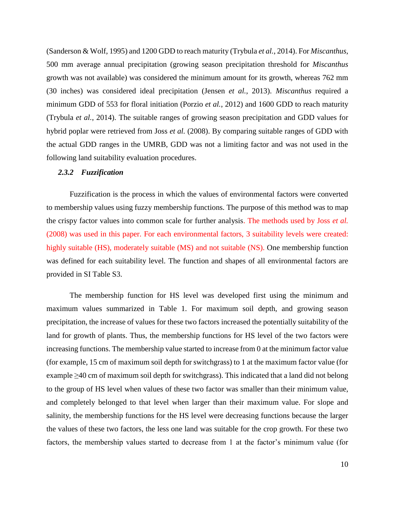(Sanderson & Wolf, 1995) and 1200 GDD to reach maturity (Trybula *et al.*, 2014). For *Miscanthus*, 500 mm average annual precipitation (growing season precipitation threshold for *Miscanthus* growth was not available) was considered the minimum amount for its growth, whereas 762 mm (30 inches) was considered ideal precipitation (Jensen *et al.*, 2013). *Miscanthus* required a minimum GDD of 553 for floral initiation (Porzio *et al.*, 2012) and 1600 GDD to reach maturity (Trybula *et al.*, 2014). The suitable ranges of growing season precipitation and GDD values for hybrid poplar were retrieved from Joss *et al.* (2008). By comparing suitable ranges of GDD with the actual GDD ranges in the UMRB, GDD was not a limiting factor and was not used in the following land suitability evaluation procedures.

#### *2.3.2 Fuzzification*

Fuzzification is the process in which the values of environmental factors were converted to membership values using fuzzy membership functions. The purpose of this method was to map the crispy factor values into common scale for further analysis. The methods used by Joss *et al.* (2008) was used in this paper. For each environmental factors, 3 suitability levels were created: highly suitable (HS), moderately suitable (MS) and not suitable (NS). One membership function was defined for each suitability level. The function and shapes of all environmental factors are provided in SI Table S3.

The membership function for HS level was developed first using the minimum and maximum values summarized in Table 1. For maximum soil depth, and growing season precipitation, the increase of values for these two factors increased the potentially suitability of the land for growth of plants. Thus, the membership functions for HS level of the two factors were increasing functions. The membership value started to increase from 0 at the minimum factor value (for example, 15 cm of maximum soil depth for switchgrass) to 1 at the maximum factor value (for example ≥40 cm of maximum soil depth for switchgrass). This indicated that a land did not belong to the group of HS level when values of these two factor was smaller than their minimum value, and completely belonged to that level when larger than their maximum value. For slope and salinity, the membership functions for the HS level were decreasing functions because the larger the values of these two factors, the less one land was suitable for the crop growth. For these two factors, the membership values started to decrease from 1 at the factor's minimum value (for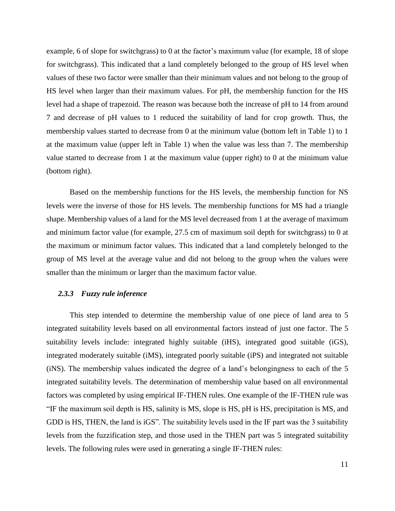example, 6 of slope for switchgrass) to 0 at the factor's maximum value (for example, 18 of slope for switchgrass). This indicated that a land completely belonged to the group of HS level when values of these two factor were smaller than their minimum values and not belong to the group of HS level when larger than their maximum values. For pH, the membership function for the HS level had a shape of trapezoid. The reason was because both the increase of pH to 14 from around 7 and decrease of pH values to 1 reduced the suitability of land for crop growth. Thus, the membership values started to decrease from 0 at the minimum value (bottom left in Table 1) to 1 at the maximum value (upper left in Table 1) when the value was less than 7. The membership value started to decrease from 1 at the maximum value (upper right) to 0 at the minimum value (bottom right).

Based on the membership functions for the HS levels, the membership function for NS levels were the inverse of those for HS levels. The membership functions for MS had a triangle shape. Membership values of a land for the MS level decreased from 1 at the average of maximum and minimum factor value (for example, 27.5 cm of maximum soil depth for switchgrass) to 0 at the maximum or minimum factor values. This indicated that a land completely belonged to the group of MS level at the average value and did not belong to the group when the values were smaller than the minimum or larger than the maximum factor value.

# *2.3.3 Fuzzy rule inference*

This step intended to determine the membership value of one piece of land area to 5 integrated suitability levels based on all environmental factors instead of just one factor. The 5 suitability levels include: integrated highly suitable (iHS), integrated good suitable (iGS), integrated moderately suitable (iMS), integrated poorly suitable (iPS) and integrated not suitable (iNS). The membership values indicated the degree of a land's belongingness to each of the 5 integrated suitability levels. The determination of membership value based on all environmental factors was completed by using empirical IF-THEN rules. One example of the IF-THEN rule was "IF the maximum soil depth is HS, salinity is MS, slope is HS, pH is HS, precipitation is MS, and GDD is HS, THEN, the land is iGS". The suitability levels used in the IF part was the 3 suitability levels from the fuzzification step, and those used in the THEN part was 5 integrated suitability levels. The following rules were used in generating a single IF-THEN rules: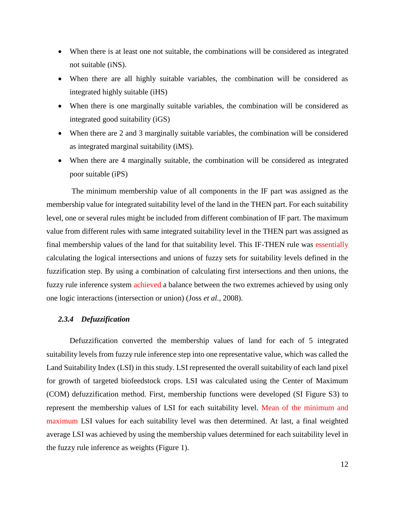- When there is at least one not suitable, the combinations will be considered as integrated not suitable (iNS).
- When there are all highly suitable variables, the combination will be considered as integrated highly suitable (iHS)
- When there is one marginally suitable variables, the combination will be considered as integrated good suitability (iGS)
- When there are 2 and 3 marginally suitable variables, the combination will be considered as integrated marginal suitability (iMS).
- When there are 4 marginally suitable, the combination will be considered as integrated poor suitable (iPS)

The minimum membership value of all components in the IF part was assigned as the membership value for integrated suitability level of the land in the THEN part. For each suitability level, one or several rules might be included from different combination of IF part. The maximum value from different rules with same integrated suitability level in the THEN part was assigned as final membership values of the land for that suitability level. This IF-THEN rule was essentially calculating the logical intersections and unions of fuzzy sets for suitability levels defined in the fuzzification step. By using a combination of calculating first intersections and then unions, the fuzzy rule inference system achieved a balance between the two extremes achieved by using only one logic interactions (intersection or union) (Joss *et al.*, 2008).

# *2.3.4 Defuzzification*

Defuzzification converted the membership values of land for each of 5 integrated suitability levels from fuzzy rule inference step into one representative value, which was called the Land Suitability Index (LSI) in this study. LSI represented the overall suitability of each land pixel for growth of targeted biofeedstock crops. LSI was calculated using the Center of Maximum (COM) defuzzification method. First, membership functions were developed (SI Figure S3) to represent the membership values of LSI for each suitability level. Mean of the minimum and maximum LSI values for each suitability level was then determined. At last, a final weighted average LSI was achieved by using the membership values determined for each suitability level in the fuzzy rule inference as weights (Figure 1).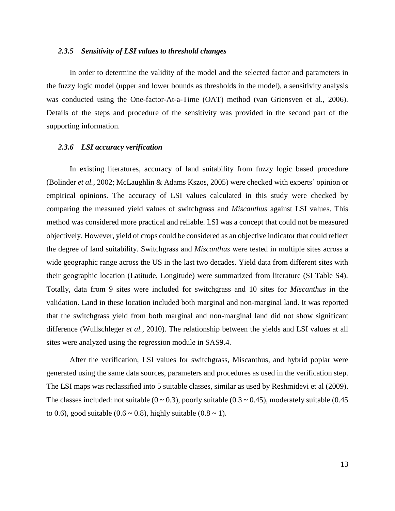#### *2.3.5 Sensitivity of LSI values to threshold changes*

In order to determine the validity of the model and the selected factor and parameters in the fuzzy logic model (upper and lower bounds as thresholds in the model), a sensitivity analysis was conducted using the One-factor-At-a-Time (OAT) method (van Griensven et al., 2006). Details of the steps and procedure of the sensitivity was provided in the second part of the supporting information.

# *2.3.6 LSI accuracy verification*

In existing literatures, accuracy of land suitability from fuzzy logic based procedure (Bolinder *et al.*, 2002; McLaughlin & Adams Kszos, 2005) were checked with experts' opinion or empirical opinions. The accuracy of LSI values calculated in this study were checked by comparing the measured yield values of switchgrass and *Miscanthus* against LSI values. This method was considered more practical and reliable. LSI was a concept that could not be measured objectively. However, yield of crops could be considered as an objective indicator that could reflect the degree of land suitability. Switchgrass and *Miscanthus* were tested in multiple sites across a wide geographic range across the US in the last two decades. Yield data from different sites with their geographic location (Latitude, Longitude) were summarized from literature (SI Table S4). Totally, data from 9 sites were included for switchgrass and 10 sites for *Miscanthus* in the validation. Land in these location included both marginal and non-marginal land. It was reported that the switchgrass yield from both marginal and non-marginal land did not show significant difference (Wullschleger *et al.*, 2010). The relationship between the yields and LSI values at all sites were analyzed using the regression module in SAS9.4.

After the verification, LSI values for switchgrass, Miscanthus, and hybrid poplar were generated using the same data sources, parameters and procedures as used in the verification step. The LSI maps was reclassified into 5 suitable classes, similar as used by Reshmidevi et al (2009). The classes included: not suitable  $(0 \sim 0.3)$ , poorly suitable  $(0.3 \sim 0.45)$ , moderately suitable  $(0.45)$ to 0.6), good suitable  $(0.6 \sim 0.8)$ , highly suitable  $(0.8 \sim 1)$ .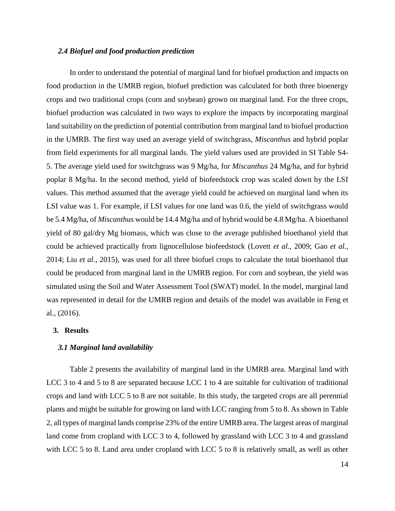# *2.4 Biofuel and food production prediction*

In order to understand the potential of marginal land for biofuel production and impacts on food production in the UMRB region, biofuel prediction was calculated for both three bioenergy crops and two traditional crops (corn and soybean) grown on marginal land. For the three crops, biofuel production was calculated in two ways to explore the impacts by incorporating marginal land suitability on the prediction of potential contribution from marginal land to biofuel production in the UMRB. The first way used an average yield of switchgrass, *Miscanthus* and hybrid poplar from field experiments for all marginal lands. The yield values used are provided in SI Table S4- 5. The average yield used for switchgrass was 9 Mg/ha, for *Miscanthus* 24 Mg/ha, and for hybrid poplar 8 Mg/ha. In the second method, yield of biofeedstock crop was scaled down by the LSI values. This method assumed that the average yield could be achieved on marginal land when its LSI value was 1. For example, if LSI values for one land was 0.6, the yield of switchgrass would be 5.4 Mg/ha, of *Miscanthus* would be 14.4 Mg/ha and of hybrid would be 4.8 Mg/ha. A bioethanol yield of 80 gal/dry Mg biomass, which was close to the average published bioethanol yield that could be achieved practically from lignocellulose biofeedstock (Lovett *et al.*, 2009; Gao *et al.*, 2014; Liu *et al.*, 2015), was used for all three biofuel crops to calculate the total bioethanol that could be produced from marginal land in the UMRB region. For corn and soybean, the yield was simulated using the Soil and Water Assessment Tool (SWAT) model. In the model, marginal land was represented in detail for the UMRB region and details of the model was available in Feng et al., (2016).

#### **3. Results**

#### *3.1 Marginal land availability*

Table 2 presents the availability of marginal land in the UMRB area. Marginal land with LCC 3 to 4 and 5 to 8 are separated because LCC 1 to 4 are suitable for cultivation of traditional crops and land with LCC 5 to 8 are not suitable. In this study, the targeted crops are all perennial plants and might be suitable for growing on land with LCC ranging from 5 to 8. As shown in Table 2, all types of marginal lands comprise 23% of the entire UMRB area. The largest areas of marginal land come from cropland with LCC 3 to 4, followed by grassland with LCC 3 to 4 and grassland with LCC 5 to 8. Land area under cropland with LCC 5 to 8 is relatively small, as well as other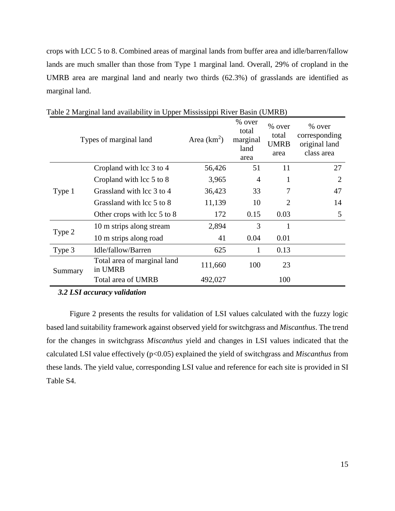crops with LCC 5 to 8. Combined areas of marginal lands from buffer area and idle/barren/fallow lands are much smaller than those from Type 1 marginal land. Overall, 29% of cropland in the UMRB area are marginal land and nearly two thirds (62.3%) of grasslands are identified as marginal land.

|         | O<br>x x<br>Types of marginal land     | rг<br>Area $(km^2)$ | % over<br>total<br>marginal<br>land<br>area | % over<br>total<br><b>UMRB</b><br>area | % over<br>corresponding<br>original land<br>class area |
|---------|----------------------------------------|---------------------|---------------------------------------------|----------------------------------------|--------------------------------------------------------|
| Type 1  | Cropland with lcc 3 to 4               | 56,426              | 51                                          | 11                                     | 27                                                     |
|         | Cropland with lcc 5 to 8               | 3,965               | $\overline{4}$                              | $\mathbf{1}$                           | $\overline{2}$                                         |
|         | Grassland with lcc 3 to 4              | 36,423              | 33                                          | 7                                      | 47                                                     |
|         | Grassland with lcc 5 to 8              | 11,139              | 10                                          | $\overline{2}$                         | 14                                                     |
|         | Other crops with lcc 5 to 8            | 172                 | 0.15                                        | 0.03                                   | 5                                                      |
| Type 2  | 10 m strips along stream               | 2,894               | 3                                           | 1                                      |                                                        |
|         | 10 m strips along road                 | 41                  | 0.04                                        | 0.01                                   |                                                        |
| Type 3  | Idle/fallow/Barren                     | 625                 | 1                                           | 0.13                                   |                                                        |
| Summary | Total area of marginal land<br>in UMRB | 111,660             | 100                                         | 23                                     |                                                        |
|         | Total area of UMRB                     | 492,027             |                                             | 100                                    |                                                        |

Table 2 Marginal land availability in Upper Mississippi River Basin (UMRB)

# *3.2 LSI accuracy validation*

[Figure 2](#page-15-0) presents the results for validation of LSI values calculated with the fuzzy logic based land suitability framework against observed yield for switchgrass and *Miscanthus*. The trend for the changes in switchgrass *Miscanthus* yield and changes in LSI values indicated that the calculated LSI value effectively (p<0.05) explained the yield of switchgrass and *Miscanthus* from these lands. The yield value, corresponding LSI value and reference for each site is provided in SI Table S4.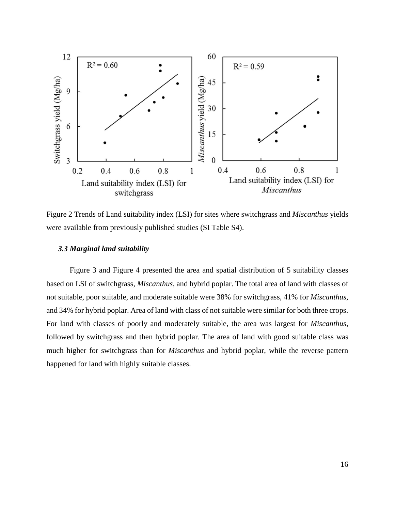

<span id="page-15-0"></span>Figure 2 Trends of Land suitability index (LSI) for sites where switchgrass and *Miscanthus* yields were available from previously published studies (SI Table S4).

#### *3.3 Marginal land suitability*

[Figure 3](#page-16-0) and [Figure 4](#page-16-1) presented the area and spatial distribution of 5 suitability classes based on LSI of switchgrass, *Miscanthus*, and hybrid poplar. The total area of land with classes of not suitable, poor suitable, and moderate suitable were 38% for switchgrass, 41% for *Miscanthus*, and 34% for hybrid poplar. Area of land with class of not suitable were similar for both three crops. For land with classes of poorly and moderately suitable, the area was largest for *Miscanthus*, followed by switchgrass and then hybrid poplar. The area of land with good suitable class was much higher for switchgrass than for *Miscanthus* and hybrid poplar, while the reverse pattern happened for land with highly suitable classes.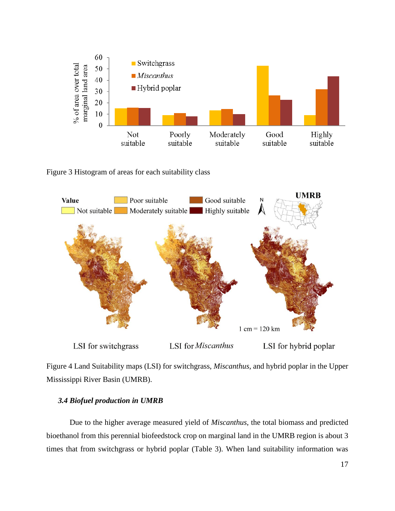

<span id="page-16-0"></span>Figure 3 Histogram of areas for each suitability class



LSI for switchgrass

**LSI** for Miscanthus

LSI for hybrid poplar

<span id="page-16-1"></span>Figure 4 Land Suitability maps (LSI) for switchgrass, *Miscanthus*, and hybrid poplar in the Upper Mississippi River Basin (UMRB).

# *3.4 Biofuel production in UMRB*

Due to the higher average measured yield of *Miscanthus*, the total biomass and predicted bioethanol from this perennial biofeedstock crop on marginal land in the UMRB region is about 3 times that from switchgrass or hybrid poplar [\(Table 3\)](#page-17-0). When land suitability information was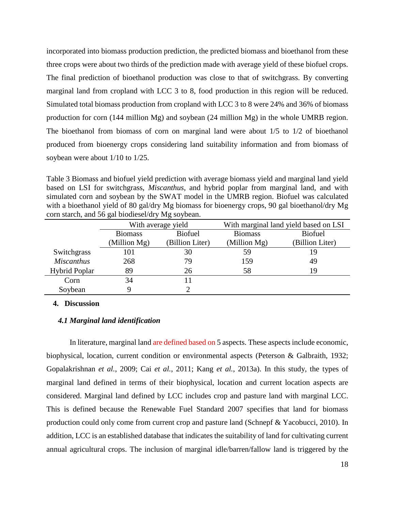incorporated into biomass production prediction, the predicted biomass and bioethanol from these three crops were about two thirds of the prediction made with average yield of these biofuel crops. The final prediction of bioethanol production was close to that of switchgrass. By converting marginal land from cropland with LCC 3 to 8, food production in this region will be reduced. Simulated total biomass production from cropland with LCC 3 to 8 were 24% and 36% of biomass production for corn (144 million Mg) and soybean (24 million Mg) in the whole UMRB region. The bioethanol from biomass of corn on marginal land were about 1/5 to 1/2 of bioethanol produced from bioenergy crops considering land suitability information and from biomass of soybean were about 1/10 to 1/25.

<span id="page-17-0"></span>Table 3 Biomass and biofuel yield prediction with average biomass yield and marginal land yield based on LSI for switchgrass, *Miscanthus*, and hybrid poplar from marginal land, and with simulated corn and soybean by the SWAT model in the UMRB region. Biofuel was calculated with a bioethanol yield of 80 gal/dry Mg biomass for bioenergy crops, 90 gal bioethanol/dry Mg corn starch, and 56 gal biodiesel/dry Mg soybean.

|                      |                | With average yield    | With marginal land yield based on LSI |                 |  |  |
|----------------------|----------------|-----------------------|---------------------------------------|-----------------|--|--|
|                      | <b>Biomass</b> | <b>Biofuel</b>        | <b>Biomass</b>                        | <b>Biofuel</b>  |  |  |
|                      | (Million Mg)   | <b>Billion Liter)</b> | (Million Mg)                          | (Billion Liter) |  |  |
| Switchgrass          | 101            | 30                    | 59                                    | 19              |  |  |
| <b>Miscanthus</b>    | 268            | 79                    | 159                                   | 49              |  |  |
| <b>Hybrid Poplar</b> | 89             | 26                    | 58                                    | 19              |  |  |
| Corn                 | 34             |                       |                                       |                 |  |  |
| Soybean              | Q              |                       |                                       |                 |  |  |

### **4. Discussion**

## *4.1 Marginal land identification*

In literature, marginal land are defined based on 5 aspects. These aspects include economic, biophysical, location, current condition or environmental aspects (Peterson & Galbraith, 1932; Gopalakrishnan *et al.*, 2009; Cai *et al.*, 2011; Kang *et al.*, 2013a). In this study, the types of marginal land defined in terms of their biophysical, location and current location aspects are considered. Marginal land defined by LCC includes crop and pasture land with marginal LCC. This is defined because the Renewable Fuel Standard 2007 specifies that land for biomass production could only come from current crop and pasture land (Schnepf & Yacobucci, 2010). In addition, LCC is an established database that indicates the suitability of land for cultivating current annual agricultural crops. The inclusion of marginal idle/barren/fallow land is triggered by the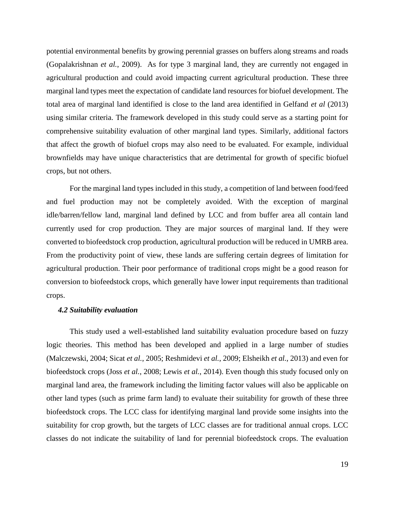potential environmental benefits by growing perennial grasses on buffers along streams and roads (Gopalakrishnan *et al.*, 2009). As for type 3 marginal land, they are currently not engaged in agricultural production and could avoid impacting current agricultural production. These three marginal land types meet the expectation of candidate land resources for biofuel development. The total area of marginal land identified is close to the land area identified in Gelfand *et al* (2013) using similar criteria. The framework developed in this study could serve as a starting point for comprehensive suitability evaluation of other marginal land types. Similarly, additional factors that affect the growth of biofuel crops may also need to be evaluated. For example, individual brownfields may have unique characteristics that are detrimental for growth of specific biofuel crops, but not others.

For the marginal land types included in this study, a competition of land between food/feed and fuel production may not be completely avoided. With the exception of marginal idle/barren/fellow land, marginal land defined by LCC and from buffer area all contain land currently used for crop production. They are major sources of marginal land. If they were converted to biofeedstock crop production, agricultural production will be reduced in UMRB area. From the productivity point of view, these lands are suffering certain degrees of limitation for agricultural production. Their poor performance of traditional crops might be a good reason for conversion to biofeedstock crops, which generally have lower input requirements than traditional crops.

# *4.2 Suitability evaluation*

This study used a well-established land suitability evaluation procedure based on fuzzy logic theories. This method has been developed and applied in a large number of studies (Malczewski, 2004; Sicat *et al.*, 2005; Reshmidevi *et al.*, 2009; Elsheikh *et al.*, 2013) and even for biofeedstock crops (Joss *et al.*, 2008; Lewis *et al.*, 2014). Even though this study focused only on marginal land area, the framework including the limiting factor values will also be applicable on other land types (such as prime farm land) to evaluate their suitability for growth of these three biofeedstock crops. The LCC class for identifying marginal land provide some insights into the suitability for crop growth, but the targets of LCC classes are for traditional annual crops. LCC classes do not indicate the suitability of land for perennial biofeedstock crops. The evaluation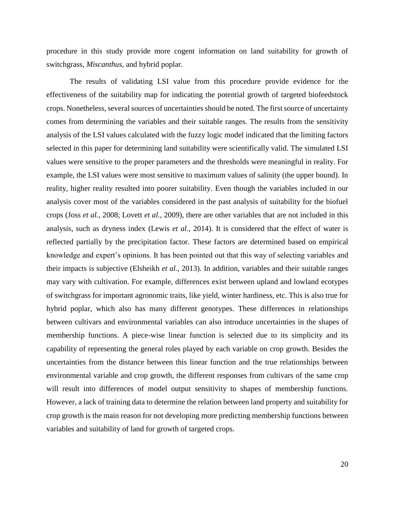procedure in this study provide more cogent information on land suitability for growth of switchgrass, *Miscanthus*, and hybrid poplar.

The results of validating LSI value from this procedure provide evidence for the effectiveness of the suitability map for indicating the potential growth of targeted biofeedstock crops. Nonetheless, several sources of uncertainties should be noted. The first source of uncertainty comes from determining the variables and their suitable ranges. The results from the sensitivity analysis of the LSI values calculated with the fuzzy logic model indicated that the limiting factors selected in this paper for determining land suitability were scientifically valid. The simulated LSI values were sensitive to the proper parameters and the thresholds were meaningful in reality. For example, the LSI values were most sensitive to maximum values of salinity (the upper bound). In reality, higher reality resulted into poorer suitability. Even though the variables included in our analysis cover most of the variables considered in the past analysis of suitability for the biofuel crops (Joss *et al.*, 2008; Lovett *et al.*, 2009), there are other variables that are not included in this analysis, such as dryness index (Lewis *et al.*, 2014). It is considered that the effect of water is reflected partially by the precipitation factor. These factors are determined based on empirical knowledge and expert's opinions. It has been pointed out that this way of selecting variables and their impacts is subjective (Elsheikh *et al.*, 2013). In addition, variables and their suitable ranges may vary with cultivation. For example, differences exist between upland and lowland ecotypes of switchgrass for important agronomic traits, like yield, winter hardiness, etc. This is also true for hybrid poplar, which also has many different genotypes. These differences in relationships between cultivars and environmental variables can also introduce uncertainties in the shapes of membership functions. A piece-wise linear function is selected due to its simplicity and its capability of representing the general roles played by each variable on crop growth. Besides the uncertainties from the distance between this linear function and the true relationships between environmental variable and crop growth, the different responses from cultivars of the same crop will result into differences of model output sensitivity to shapes of membership functions. However, a lack of training data to determine the relation between land property and suitability for crop growth is the main reason for not developing more predicting membership functions between variables and suitability of land for growth of targeted crops.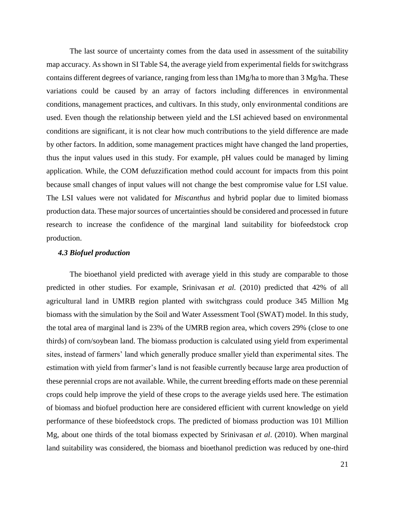The last source of uncertainty comes from the data used in assessment of the suitability map accuracy. As shown in SI Table S4, the average yield from experimental fields for switchgrass contains different degrees of variance, ranging from less than 1Mg/ha to more than 3 Mg/ha. These variations could be caused by an array of factors including differences in environmental conditions, management practices, and cultivars. In this study, only environmental conditions are used. Even though the relationship between yield and the LSI achieved based on environmental conditions are significant, it is not clear how much contributions to the yield difference are made by other factors. In addition, some management practices might have changed the land properties, thus the input values used in this study. For example, pH values could be managed by liming application. While, the COM defuzzification method could account for impacts from this point because small changes of input values will not change the best compromise value for LSI value. The LSI values were not validated for *Miscanthus* and hybrid poplar due to limited biomass production data. These major sources of uncertainties should be considered and processed in future research to increase the confidence of the marginal land suitability for biofeedstock crop production.

# *4.3 Biofuel production*

The bioethanol yield predicted with average yield in this study are comparable to those predicted in other studies. For example, Srinivasan *et al.* (2010) predicted that 42% of all agricultural land in UMRB region planted with switchgrass could produce 345 Million Mg biomass with the simulation by the Soil and Water Assessment Tool (SWAT) model. In this study, the total area of marginal land is 23% of the UMRB region area, which covers 29% (close to one thirds) of corn/soybean land. The biomass production is calculated using yield from experimental sites, instead of farmers' land which generally produce smaller yield than experimental sites. The estimation with yield from farmer's land is not feasible currently because large area production of these perennial crops are not available. While, the current breeding efforts made on these perennial crops could help improve the yield of these crops to the average yields used here. The estimation of biomass and biofuel production here are considered efficient with current knowledge on yield performance of these biofeedstock crops. The predicted of biomass production was 101 Million Mg, about one thirds of the total biomass expected by Srinivasan *et al*. (2010). When marginal land suitability was considered, the biomass and bioethanol prediction was reduced by one-third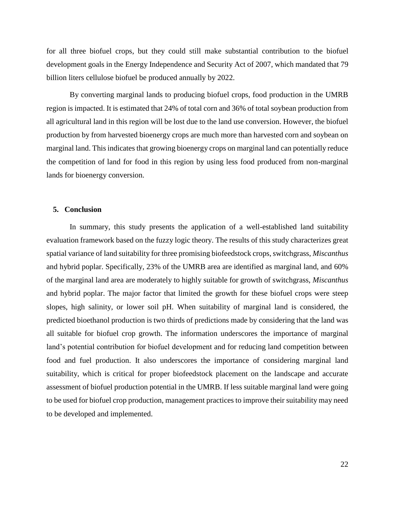for all three biofuel crops, but they could still make substantial contribution to the biofuel development goals in the Energy Independence and Security Act of 2007, which mandated that 79 billion liters cellulose biofuel be produced annually by 2022.

By converting marginal lands to producing biofuel crops, food production in the UMRB region is impacted. It is estimated that 24% of total corn and 36% of total soybean production from all agricultural land in this region will be lost due to the land use conversion. However, the biofuel production by from harvested bioenergy crops are much more than harvested corn and soybean on marginal land. This indicates that growing bioenergy crops on marginal land can potentially reduce the competition of land for food in this region by using less food produced from non-marginal lands for bioenergy conversion.

## **5. Conclusion**

In summary, this study presents the application of a well-established land suitability evaluation framework based on the fuzzy logic theory. The results of this study characterizes great spatial variance of land suitability for three promising biofeedstock crops, switchgrass, *Miscanthus* and hybrid poplar. Specifically, 23% of the UMRB area are identified as marginal land, and 60% of the marginal land area are moderately to highly suitable for growth of switchgrass, *Miscanthus* and hybrid poplar. The major factor that limited the growth for these biofuel crops were steep slopes, high salinity, or lower soil pH. When suitability of marginal land is considered, the predicted bioethanol production is two thirds of predictions made by considering that the land was all suitable for biofuel crop growth. The information underscores the importance of marginal land's potential contribution for biofuel development and for reducing land competition between food and fuel production. It also underscores the importance of considering marginal land suitability, which is critical for proper biofeedstock placement on the landscape and accurate assessment of biofuel production potential in the UMRB. If less suitable marginal land were going to be used for biofuel crop production, management practices to improve their suitability may need to be developed and implemented.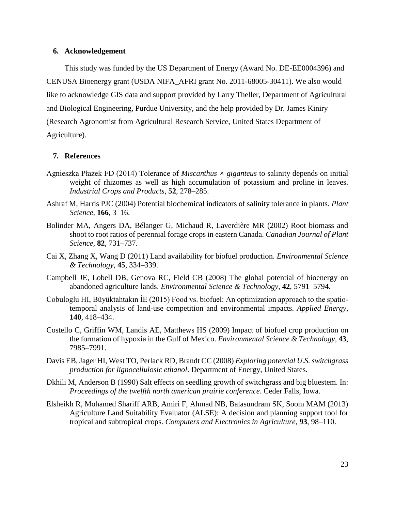# **6. Acknowledgement**

This study was funded by the US Department of Energy (Award No. DE-EE0004396) and CENUSA Bioenergy grant (USDA NIFA\_AFRI grant No. 2011-68005-30411). We also would like to acknowledge GIS data and support provided by Larry Theller, Department of Agricultural and Biological Engineering, Purdue University, and the help provided by Dr. James Kiniry (Research Agronomist from Agricultural Research Service, United States Department of Agriculture).

# **7. References**

- Agnieszka Płażek FD (2014) Tolerance of *Miscanthus × giganteus* to salinity depends on initial weight of rhizomes as well as high accumulation of potassium and proline in leaves. *Industrial Crops and Products*, **52**, 278–285.
- Ashraf M, Harris PJC (2004) Potential biochemical indicators of salinity tolerance in plants. *Plant Science*, **166**, 3–16.
- Bolinder MA, Angers DA, Bélanger G, Michaud R, Laverdière MR (2002) Root biomass and shoot to root ratios of perennial forage crops in eastern Canada. *Canadian Journal of Plant Science*, **82**, 731–737.
- Cai X, Zhang X, Wang D (2011) Land availability for biofuel production. *Environmental Science & Technology*, **45**, 334–339.
- Campbell JE, Lobell DB, Genova RC, Field CB (2008) The global potential of bioenergy on abandoned agriculture lands. *Environmental Science & Technology*, **42**, 5791–5794.
- Cobuloglu HI, Büyüktahtakın İE (2015) Food vs. biofuel: An optimization approach to the spatiotemporal analysis of land-use competition and environmental impacts. *Applied Energy*, **140**, 418–434.
- Costello C, Griffin WM, Landis AE, Matthews HS (2009) Impact of biofuel crop production on the formation of hypoxia in the Gulf of Mexico. *Environmental Science & Technology*, **43**, 7985–7991.
- Davis EB, Jager HI, West TO, Perlack RD, Brandt CC (2008) *Exploring potential U.S. switchgrass production for lignocellulosic ethanol*. Department of Energy, United States.
- Dkhili M, Anderson B (1990) Salt effects on seedling growth of switchgrass and big bluestem. In: *Proceedings of the twelfth north american prairie conference*. Ceder Falls, Iowa.
- Elsheikh R, Mohamed Shariff ARB, Amiri F, Ahmad NB, Balasundram SK, Soom MAM (2013) Agriculture Land Suitability Evaluator (ALSE): A decision and planning support tool for tropical and subtropical crops. *Computers and Electronics in Agriculture*, **93**, 98–110.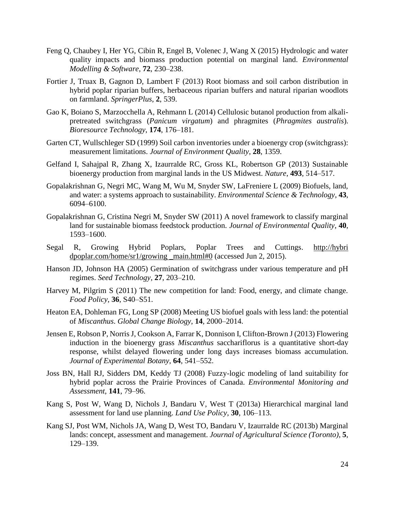- Feng Q, Chaubey I, Her YG, Cibin R, Engel B, Volenec J, Wang X (2015) Hydrologic and water quality impacts and biomass production potential on marginal land. *Environmental Modelling & Software*, **72**, 230–238.
- Fortier J, Truax B, Gagnon D, Lambert F (2013) Root biomass and soil carbon distribution in hybrid poplar riparian buffers, herbaceous riparian buffers and natural riparian woodlots on farmland. *SpringerPlus*, **2**, 539.
- Gao K, Boiano S, Marzocchella A, Rehmann L (2014) Cellulosic butanol production from alkalipretreated switchgrass (*Panicum virgatum*) and phragmites (*Phragmites australis*). *Bioresource Technology*, **174**, 176–181.
- Garten CT, Wullschleger SD (1999) Soil carbon inventories under a bioenergy crop (switchgrass): measurement limitations. *Journal of Environment Quality*, **28**, 1359.
- Gelfand I, Sahajpal R, Zhang X, Izaurralde RC, Gross KL, Robertson GP (2013) Sustainable bioenergy production from marginal lands in the US Midwest. *Nature*, **493**, 514–517.
- Gopalakrishnan G, Negri MC, Wang M, Wu M, Snyder SW, LaFreniere L (2009) Biofuels, land, and water: a systems approach to sustainability. *Environmental Science & Technology*, **43**, 6094–6100.
- Gopalakrishnan G, Cristina Negri M, Snyder SW (2011) A novel framework to classify marginal land for sustainable biomass feedstock production. *Journal of Environmental Quality*, **40**, 1593–1600.
- Segal R, Growing Hybrid Poplars, Poplar Trees and Cuttings. http://hybri dpoplar.com/home/sr1/growing main.html#0 (accessed Jun 2, 2015).
- Hanson JD, Johnson HA (2005) Germination of switchgrass under various temperature and pH regimes. *Seed Technology*, **27**, 203–210.
- Harvey M, Pilgrim S (2011) The new competition for land: Food, energy, and climate change. *Food Policy*, **36**, S40–S51.
- Heaton EA, Dohleman FG, Long SP (2008) Meeting US biofuel goals with less land: the potential of *Miscanthus*. *Global Change Biology*, **14**, 2000–2014.
- Jensen E, Robson P, Norris J, Cookson A, Farrar K, Donnison I, Clifton-Brown J (2013) Flowering induction in the bioenergy grass *Miscanthus* sacchariflorus is a quantitative short-day response, whilst delayed flowering under long days increases biomass accumulation. *Journal of Experimental Botany*, **64**, 541–552.
- Joss BN, Hall RJ, Sidders DM, Keddy TJ (2008) Fuzzy-logic modeling of land suitability for hybrid poplar across the Prairie Provinces of Canada. *Environmental Monitoring and Assessment*, **141**, 79–96.
- Kang S, Post W, Wang D, Nichols J, Bandaru V, West T (2013a) Hierarchical marginal land assessment for land use planning. *Land Use Policy*, **30**, 106–113.
- Kang SJ, Post WM, Nichols JA, Wang D, West TO, Bandaru V, Izaurralde RC (2013b) Marginal lands: concept, assessment and management. *Journal of Agricultural Science (Toronto)*, **5**, 129–139.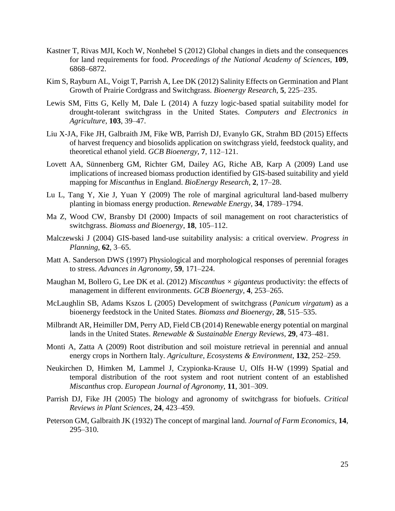- Kastner T, Rivas MJI, Koch W, Nonhebel S (2012) Global changes in diets and the consequences for land requirements for food. *Proceedings of the National Academy of Sciences*, **109**, 6868–6872.
- Kim S, Rayburn AL, Voigt T, Parrish A, Lee DK (2012) Salinity Effects on Germination and Plant Growth of Prairie Cordgrass and Switchgrass. *Bioenergy Research*, **5**, 225–235.
- Lewis SM, Fitts G, Kelly M, Dale L (2014) A fuzzy logic-based spatial suitability model for drought-tolerant switchgrass in the United States. *Computers and Electronics in Agriculture*, **103**, 39–47.
- Liu X-JA, Fike JH, Galbraith JM, Fike WB, Parrish DJ, Evanylo GK, Strahm BD (2015) Effects of harvest frequency and biosolids application on switchgrass yield, feedstock quality, and theoretical ethanol yield. *GCB Bioenergy*, **7**, 112–121.
- Lovett AA, Sünnenberg GM, Richter GM, Dailey AG, Riche AB, Karp A (2009) Land use implications of increased biomass production identified by GIS-based suitability and yield mapping for *Miscanthus* in England. *BioEnergy Research*, **2**, 17–28.
- Lu L, Tang Y, Xie J, Yuan Y (2009) The role of marginal agricultural land-based mulberry planting in biomass energy production. *Renewable Energy*, **34**, 1789–1794.
- Ma Z, Wood CW, Bransby DI (2000) Impacts of soil management on root characteristics of switchgrass. *Biomass and Bioenergy*, **18**, 105–112.
- Malczewski J (2004) GIS-based land-use suitability analysis: a critical overview. *Progress in Planning*, **62**, 3–65.
- Matt A. Sanderson DWS (1997) Physiological and morphological responses of perennial forages to stress. *Advances in Agronomy*, **59**, 171–224.
- Maughan M, Bollero G, Lee DK et al. (2012) *Miscanthus × giganteus* productivity: the effects of management in different environments. *GCB Bioenergy*, **4**, 253–265.
- McLaughlin SB, Adams Kszos L (2005) Development of switchgrass (*Panicum virgatum*) as a bioenergy feedstock in the United States. *Biomass and Bioenergy*, **28**, 515–535.
- Milbrandt AR, Heimiller DM, Perry AD, Field CB (2014) Renewable energy potential on marginal lands in the United States. *Renewable & Sustainable Energy Reviews*, **29**, 473–481.
- Monti A, Zatta A (2009) Root distribution and soil moisture retrieval in perennial and annual energy crops in Northern Italy. *Agriculture, Ecosystems & Environment*, **132**, 252–259.
- Neukirchen D, Himken M, Lammel J, Czypionka-Krause U, Olfs H-W (1999) Spatial and temporal distribution of the root system and root nutrient content of an established *Miscanthus* crop. *European Journal of Agronomy*, **11**, 301–309.
- Parrish DJ, Fike JH (2005) The biology and agronomy of switchgrass for biofuels. *Critical Reviews in Plant Sciences*, **24**, 423–459.
- Peterson GM, Galbraith JK (1932) The concept of marginal land. *Journal of Farm Economics*, **14**, 295–310.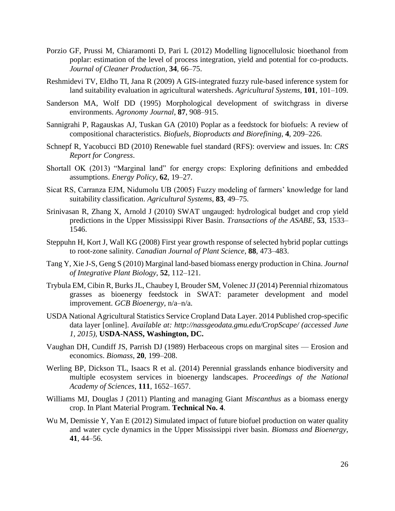- Porzio GF, Prussi M, Chiaramonti D, Pari L (2012) Modelling lignocellulosic bioethanol from poplar: estimation of the level of process integration, yield and potential for co-products. *Journal of Cleaner Production*, **34**, 66–75.
- Reshmidevi TV, Eldho TI, Jana R (2009) A GIS-integrated fuzzy rule-based inference system for land suitability evaluation in agricultural watersheds. *Agricultural Systems*, **101**, 101–109.
- Sanderson MA, Wolf DD (1995) Morphological development of switchgrass in diverse environments. *Agronomy Journal*, **87**, 908–915.
- Sannigrahi P, Ragauskas AJ, Tuskan GA (2010) Poplar as a feedstock for biofuels: A review of compositional characteristics. *Biofuels, Bioproducts and Biorefining*, **4**, 209–226.
- Schnepf R, Yacobucci BD (2010) Renewable fuel standard (RFS): overview and issues. In: *CRS Report for Congress*.
- Shortall OK (2013) "Marginal land" for energy crops: Exploring definitions and embedded assumptions. *Energy Policy*, **62**, 19–27.
- Sicat RS, Carranza EJM, Nidumolu UB (2005) Fuzzy modeling of farmers' knowledge for land suitability classification. *Agricultural Systems*, **83**, 49–75.
- Srinivasan R, Zhang X, Arnold J (2010) SWAT ungauged: hydrological budget and crop yield predictions in the Upper Mississippi River Basin. *Transactions of the ASABE*, **53**, 1533– 1546.
- Steppuhn H, Kort J, Wall KG (2008) First year growth response of selected hybrid poplar cuttings to root-zone salinity. *Canadian Journal of Plant Science*, **88**, 473–483.
- Tang Y, Xie J-S, Geng S (2010) Marginal land-based biomass energy production in China. *Journal of Integrative Plant Biology*, **52**, 112–121.
- Trybula EM, Cibin R, Burks JL, Chaubey I, Brouder SM, Volenec JJ (2014) Perennial rhizomatous grasses as bioenergy feedstock in SWAT: parameter development and model improvement. *GCB Bioenergy*, n/a–n/a.
- USDA National Agricultural Statistics Service Cropland Data Layer. 2014 Published crop-specific data layer [online]. *Available at: http://nassgeodata.gmu.edu/CropScape/ (accessed June 1, 2015)*, **USDA-NASS, Washington, DC.**
- Vaughan DH, Cundiff JS, Parrish DJ (1989) Herbaceous crops on marginal sites Erosion and economics. *Biomass*, **20**, 199–208.
- Werling BP, Dickson TL, Isaacs R et al. (2014) Perennial grasslands enhance biodiversity and multiple ecosystem services in bioenergy landscapes. *Proceedings of the National Academy of Sciences*, **111**, 1652–1657.
- Williams MJ, Douglas J (2011) Planting and managing Giant *Miscanthus* as a biomass energy crop. In Plant Material Program. **Technical No. 4**.
- Wu M, Demissie Y, Yan E (2012) Simulated impact of future biofuel production on water quality and water cycle dynamics in the Upper Mississippi river basin. *Biomass and Bioenergy*, **41**, 44–56.